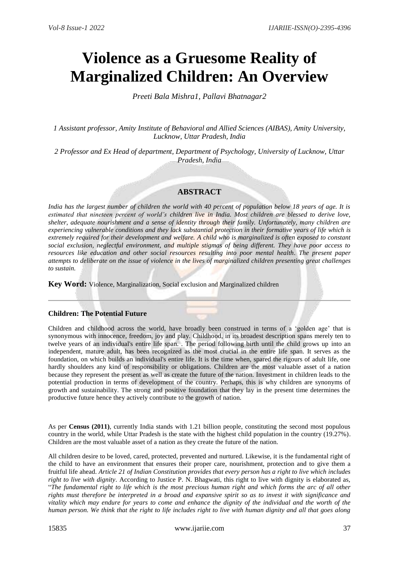# **Violence as a Gruesome Reality of Marginalized Children: An Overview**

*Preeti Bala Mishra1, Pallavi Bhatnagar2*

*1 Assistant professor, Amity Institute of Behavioral and Allied Sciences (AIBAS), Amity University, Lucknow, Uttar Pradesh, India*

*2 Professor and Ex Head of department, Department of Psychology, University of Lucknow, Uttar Pradesh, India*

## **ABSTRACT**

*India has the largest number of children the world with 40 percent of population below 18 years of age. It is estimated that nineteen percent of world's children live in India. Most children are blessed to derive love, shelter, adequate nourishment and a sense of identity through their family. Unfortunately, many children are experiencing vulnerable conditions and they lack substantial protection in their formative years of life which is extremely required for their development and welfare. A child who is marginalized is often exposed to constant social exclusion, neglectful environment, and multiple stigmas of being different. They have poor access to resources like education and other social resources resulting into poor mental health. The present paper attempts to deliberate on the issue of violence in the lives of marginalized children presenting great challenges to sustain.*

**Key Word:** Violence, Marginalization, Social exclusion and Marginalized children

### **Children: The Potential Future**

Children and childhood across the world, have broadly been construed in terms of a 'golden age' that is synonymous with innocence, freedom, joy and play. Childhood, in its broadest description spans merely ten to twelve years of an individual's entire life span. . The period following birth until the child grows up into an independent, mature adult, has been recognized as the most crucial in the entire life span. It serves as the foundation, on which builds an individual's entire life. It is the time when, spared the rigours of adult life, one hardly shoulders any kind of responsibility or obligations. Children are the most valuable asset of a nation because they represent the present as well as create the future of the nation. Investment in children leads to the potential production in terms of development of the country. Perhaps, this is why children are synonyms of growth and sustainability. The strong and positive foundation that they lay in the present time determines the productive future hence they actively contribute to the growth of nation.

As per **Census (2011)**, currently India stands with 1.21 billion people, constituting the second most populous country in the world, while Uttar Pradesh is the state with the highest child population in the country (19.27%). Children are the most valuable asset of a nation as they create the future of the nation.

All children desire to be loved, cared, protected, prevented and nurtured. Likewise, it is the fundamental right of the child to have an environment that ensures their proper care, nourishment, protection and to give them a fruitful life ahead. *Article 21 of Indian Constitution provides that every person has a right to live which includes right to live with dignity*. According to Justice P. N. Bhagwati, this right to live with dignity is elaborated as, "*The fundamental right to life which is the most precious human right and which forms the arc of all other rights must therefore be interpreted in a broad and expansive spirit so as to invest it with significance and vitality which may endure for years to come and enhance the dignity of the individual and the worth of the human person. We think that the right to life includes right to live with human dignity and all that goes along*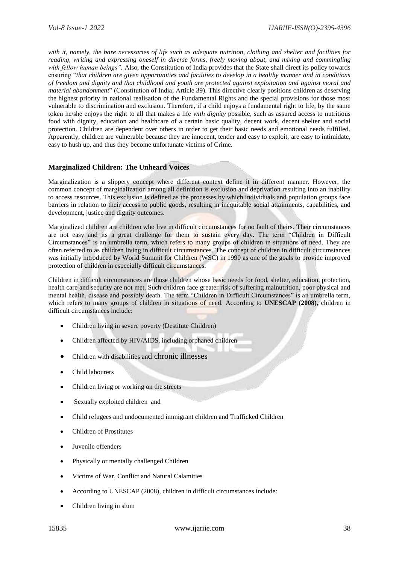*with it, namely, the bare necessaries of life such as adequate nutrition, clothing and shelter and facilities for reading, writing and expressing oneself in diverse forms, freely moving about, and mixing and commingling with fellow human beings".* Also, the Constitution of India provides that the State shall direct its policy towards ensuring "*that children are given opportunities and facilities to develop in a healthy manner and in conditions of freedom and dignity and that childhood and youth are protected against exploitation and against moral and material abandonment*" (Constitution of India; Article 39). This directive clearly positions children as deserving the highest priority in national realisation of the Fundamental Rights and the special provisions for those most vulnerable to discrimination and exclusion. Therefore, if a child enjoys a fundamental right to life, by the same token he/she enjoys the right to all that makes a life *with dignity* possible, such as assured access to nutritious food with dignity, education and healthcare of a certain basic quality, decent work, decent shelter and social protection. Children are dependent over others in order to get their basic needs and emotional needs fulfilled. Apparently, children are vulnerable because they are innocent, tender and easy to exploit, are easy to intimidate, easy to hush up, and thus they become unfortunate victims of Crime.

### **Marginalized Children: The Unheard Voices**

Marginalization is a slippery concept where different context define it in different manner. However, the common concept of marginalization among all definition is exclusion and deprivation resulting into an inability to access resources. This exclusion is defined as the processes by which individuals and population groups face barriers in relation to their access to public goods, resulting in inequitable social attainments, capabilities, and development, justice and dignity outcomes.

Marginalized children are children who live in difficult circumstances for no fault of theirs. Their circumstances are not easy and its a great challenge for them to sustain every day. The term "Children in Difficult Circumstances" is an umbrella term, which refers to many groups of children in situations of need. They are often referred to as children living in difficult circumstances. The concept of children in difficult circumstances was initially introduced by World Summit for Children (WSC) in 1990 as one of the goals to provide improved protection of children in especially difficult circumstances.

Children in difficult circumstances are those children whose basic needs for food, shelter, education, protection, health care and security are not met. Such children face greater risk of suffering malnutrition, poor physical and mental health, disease and possibly death. The term "Children in Difficult Circumstances" is an umbrella term, which refers to many groups of children in situations of need. According to **UNESCAP (2008),** children in difficult circumstances include:

- Children living in severe poverty (Destitute Children)
- Children affected by HIV/AIDS, including orphaned children
- Children with disabilities and chronic illnesses
- Child labourers
- Children living or working on the streets
- Sexually exploited children and
- Child refugees and undocumented immigrant children and Trafficked Children
- Children of Prostitutes
- Juvenile offenders
- Physically or mentally challenged Children
- Victims of War, Conflict and Natural Calamities
- According to UNESCAP (2008), children in difficult circumstances include:
- Children living in slum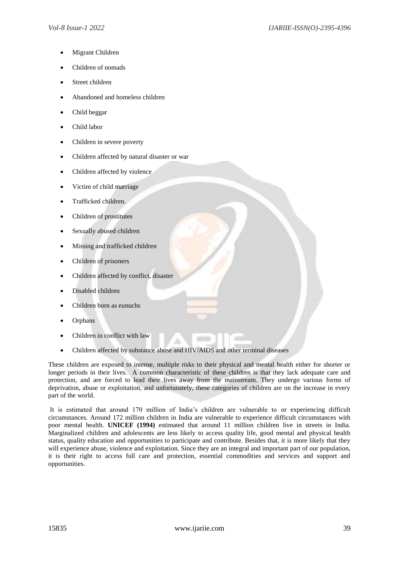- Migrant Children
- Children of nomads
- Street children
- Abandoned and homeless children
- Child beggar
- Child labor
- Children in severe poverty
- Children affected by natural disaster or war
- Children affected by violence
- Victim of child marriage
- Trafficked children.
- Children of prostitutes
- Sexually abused children
- Missing and trafficked children
- Children of prisoners
- Children affected by conflict, disaster
- Disabled children
- Children born as eunuchs
- Orphans
- Children in conflict with law
- Children affected by substance abuse and HIV/AIDS and other terminal diseases

These children are exposed to intense, multiple risks to their physical and mental health either for shorter or longer periods in their lives. A common characteristic of these children is that they lack adequate care and protection, and are forced to lead their lives away from the mainstream. They undergo various forms of deprivation, abuse or exploitation, and unfortunately, these categories of children are on the increase in every part of the world.

It is estimated that around 170 million of India's children are vulnerable to or experiencing difficult circumstances. Around 172 million children in India are vulnerable to experience difficult circumstances with poor mental health. **UNICEF (1994)** estimated that around 11 million children live in streets in India. Marginalized children and adolescents are less likely to access quality life, good mental and physical health status, quality education and opportunities to participate and contribute. Besides that, it is more likely that they will experience abuse, violence and exploitation. Since they are an integral and important part of our population, it is their right to access full care and protection, essential commodities and services and support and opportunities.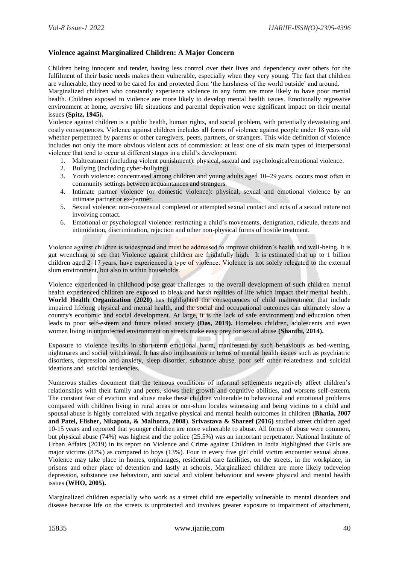## **Violence against Marginalized Children: A Major Concern**

Children being innocent and tender, having less control over their lives and dependency over others for the fulfilment of their basic needs makes them vulnerable, especially when they very young. The fact that children are vulnerable, they need to be cared for and protected from 'the harshness of the world outside' and around.

Marginalized children who constantly experience violence in any form are more likely to have poor mental health. Children exposed to violence are more likely to develop mental health issues. Emotionally regressive environment at home, aversive life situations and parental deprivation were significant impact on their mental issues **(Spitz, 1945).**

Violence against children is a public health, human rights, and social problem, with potentially devastating and costly consequences. Violence against children includes all forms of violence against people under 18 years old whether perpetrated by parents or other caregivers, peers, partners, or strangers. This wide definition of violence includes not only the more obvious violent acts of commission: at least one of six main types of interpersonal violence that tend to occur at different stages in a child's development.

- 1. Maltreatment (including violent punishment): physical, sexual and psychological/emotional violence.
- 2. Bullying (including cyber-bullying).
- 3. Youth violence: concentrated among children and young adults aged 10–29 years, occurs most often in community settings between acquaintances and strangers.
- 4. Intimate partner violence (or domestic violence): physical, sexual and emotional violence by an intimate partner or ex-partner.
- 5. Sexual violence: non-consensual completed or attempted sexual contact and acts of a sexual nature not involving contact.
- 6. Emotional or psychological violence: restricting a child's movements, denigration, ridicule, threats and intimidation, discrimination, rejection and other non-physical forms of hostile treatment.

Violence against children is widespread and must be addressed to improve children's health and well-being. It is gut wrenching to see that Violence against children are frightfully high. It is estimated that up to 1 billion children aged 2–17 years, have experienced a type of violence. Violence is not solely relegated to the external slum environment, but also to within households.

Violence experienced in childhood pose great challenges to the overall development of such children mental health experienced children are exposed to bleak and harsh realities of life which impact their mental health.. **World Health Organization (2020)** has highlighted the consequences of child maltreatment that include impaired lifelong physical and mental health, and the social and occupational outcomes can ultimately slow a country's economic and social development. At large, it is the lack of safe environment and education often leads to poor self-esteem and future related anxiety **(Das, 2019).** Homeless children, adolescents and even women living in unprotected environment on streets make easy prey for sexual abuse **(Shanthi, 2014).**

Exposure to violence results in short-term emotional harm, manifested by such behaviours as bed-wetting, nightmares and social withdrawal. It has also implications in terms of mental health issues such as psychiatric disorders, depression and anxiety, sleep disorder, substance abuse, poor self other relatedness and suicidal ideations and suicidal tendencies.

Numerous studies document that the tenuous conditions of informal settlements negatively affect children's relationships with their family and peers, slows their growth and cognitive abilities, and worsens self-esteem. The constant fear of eviction and abuse make these children vulnerable to behavioural and emotional problems compared with children living in rural areas or non-slum locales witnessing and being victims to a child and spousal abuse is highly correlated with negative physical and mental health outcomes in children (**Bhatia, 2007 and Patel, Flisher, Nikapota, & Malhotra, 2008**). **Srivastava & Shareef (2016)** studied street children aged 10-15 years and reported that younger children are more vulnerable to abuse. All forms of abuse were common, but physical abuse (74%) was highest and the police (25.5%) was an important perpetrator. National Institute of Urban Affairs (2019) in its report on Violence and Crime against Children in India highlighted that Girls are major victims (87%) as compared to boys (13%). Four in every five girl child victim encounter sexual abuse. Violence may take place in homes, orphanages, residential care facilities, on the streets, in the workplace, in prisons and other place of detention and lastly at schools. Marginalized children are more likely todevelop depression, substance use behaviour, anti social and violent behaviour and severe physical and mental health issues **(WHO, 2005).**

Marginalized children especially who work as a street child are especially vulnerable to mental disorders and disease because life on the streets is unprotected and involves greater exposure to impairment of attachment,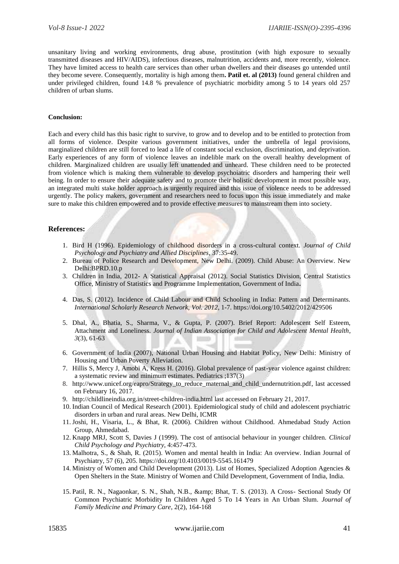unsanitary living and working environments, drug abuse, prostitution (with high exposure to sexually transmitted diseases and HIV/AIDS), infectious diseases, malnutrition, accidents and, more recently, violence. They have limited access to health care services than other urban dwellers and their diseases go untended until they become severe. Consequently, mortality is high among them**. Patil et. al (2013)** found general children and under privileged children, found 14.8 % prevalence of psychiatric morbidity among 5 to 14 years old 257 children of urban slums.

#### **Conclusion:**

Each and every child has this basic right to survive, to grow and to develop and to be entitled to protection from all forms of violence. Despite various government initiatives, under the umbrella of legal provisions, marginalized children are still forced to lead a life of constant social exclusion, discrimination, and deprivation. Early experiences of any form of violence leaves an indelible mark on the overall healthy development of children. Marginalized children are usually left unattended and unheard. These children need to be protected from violence which is making them vulnerable to develop psychoiatric disorders and hampering their well being. In order to ensure their adequate safety and to promote their holistic development in most possible way, an integrated multi stake holder approach is urgently required and this issue of violence needs to be addressed urgently. The policy makers, government and researchers need to focus upon this issue immediately and make sure to make this children empowered and to provide effective measures to mainstream them into society.

#### **References:**

- 1. Bird H (1996). Epidemiology of childhood disorders in a cross-cultural context. *Journal of Child Psychology and Psychiatry and Allied Disciplines*, 37:35-49.
- 2. Bureau of Police Research and Development, New Delhi. (2009). Child Abuse: An Overview. New Delhi:BPRD.10.p
- 3. Children in India, 2012- A Statistical Appraisal (2012). Social Statistics Division, Central Statistics Office, Ministry of Statistics and Programme Implementation, Government of India**.**
- 4. Das, S. (2012). Incidence of Child Labour and Child Schooling in India: Pattern and Determinants. *International Scholarly Research Network, Vol. 2012,* 1-7. <https://doi.org/10.5402/2012/429506>
- 5. Dhal, A., Bhatia, S., Sharma, V., & Gupta, P. (2007). Brief Report: Adolescent Self Esteem, Attachment and Loneliness. *Journal of Indian Association for Child and Adolescent Mental Health*, *3*(3), 61-63
- 6. Government of India (2007), National Urban Housing and Habitat Policy, New Delhi: Ministry of Housing and Urban Poverty Alleviation.
- 7. Hillis S, Mercy J, Amobi A, Kress H. (2016). Global prevalence of past-year violence against children: a systematic review and minimum estimates. Pediatrics ;137(3)
- 8. http://www.unicef.org/eapro/Strategy to reduce maternal and child undernutrition.pdf, last accessed on February 16, 2017.
- 9. [http://childlineindia.org.in/street-children-india.html](http://childlineindia.org.in/street-children-india.htm) last accessed on February 21, 2017.
- 10. Indian Council of Medical Research (2001). Epidemiological study of child and adolescent psychiatric disorders in urban and rural areas. New Delhi, ICMR
- 11. Joshi, H., Visaria, L., & Bhat, R. (2006). Children without Childhood. Ahmedabad Study Action Group, Ahmedabad.
- 12. Knapp MRJ, Scott S, Davies J (1999). The cost of antisocial behaviour in younger children. *Clinical Child Psychology and Psychiatry*, 4:457-473.
- 13. Malhotra, S., & Shah, R. (2015). Women and mental health in India: An overview. Indian Journal of Psychiatry, 57 (6), 205. https://doi.org/10.4103/0019-5545.161479
- 14. Ministry of Women and Child Development (2013). List of Homes, Specialized Adoption Agencies & Open Shelters in the State. Ministry of Women and Child Development, Government of India, India.
- 15. Patil, R. N., Nagaonkar, S. N., Shah, N.B., & amp; Bhat, T. S. (2013). A Cross- Sectional Study Of Common Psychiatric Morbidity In Children Aged 5 To 14 Years in An Urban Slum. *Journal of Family Medicine and Primary Care*, 2(2), 164-168